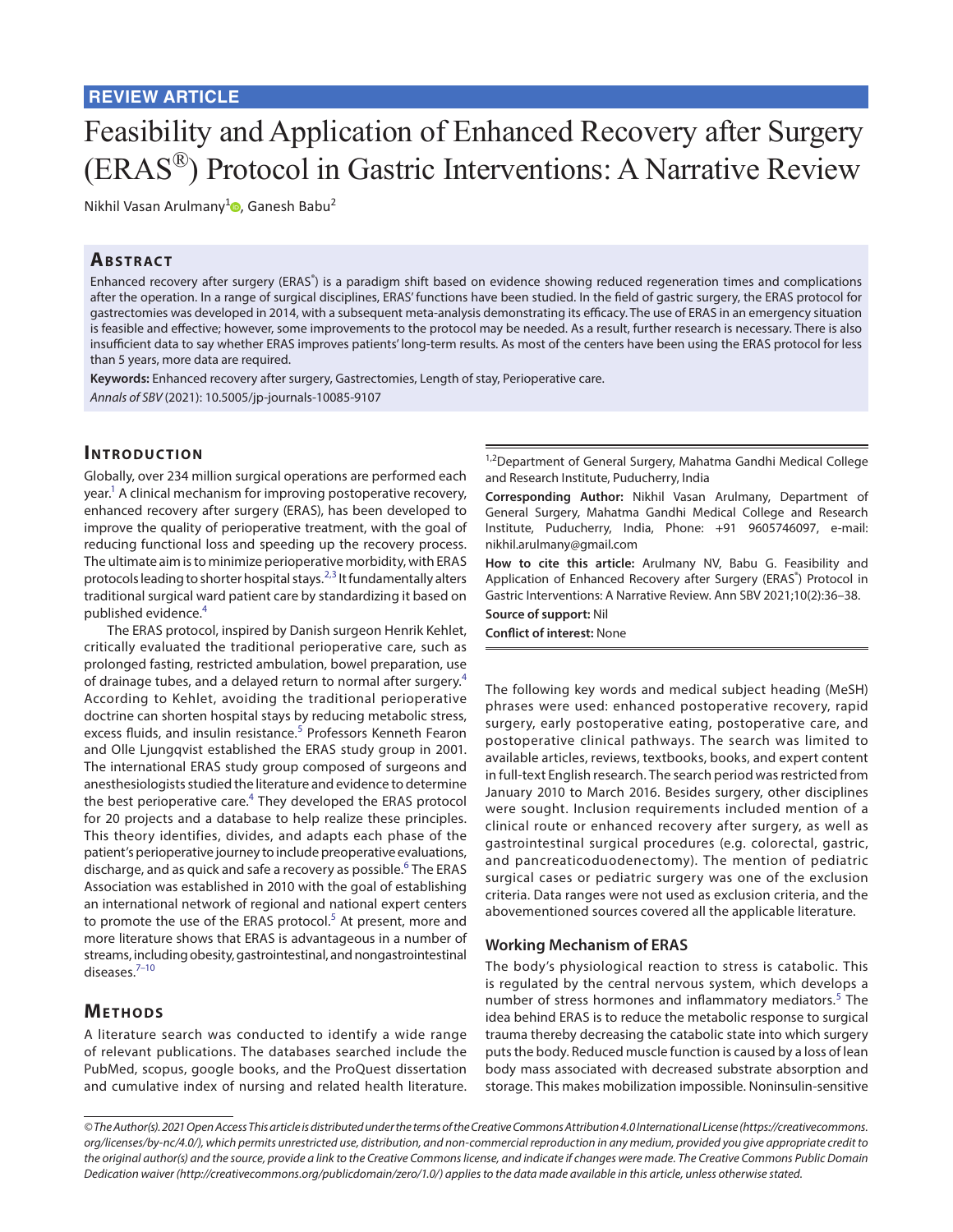# Feasibility and Application of Enhanced Recovery after Surgery (ERAS®) Protocol in Gastric Interventions: A Narrative Review

Nikhil Vasan Arulmany<sup>[1](https://orcid.org/0000-0002-9760-7145)</sup><sup>®</sup>, Ganesh Babu<sup>2</sup>

# **ABSTRACT**

Enhanced recovery after surgery (ERAS®) is a paradigm shift based on evidence showing reduced regeneration times and complications after the operation. In a range of surgical disciplines, ERAS' functions have been studied. In the field of gastric surgery, the ERAS protocol for gastrectomies was developed in 2014, with a subsequent meta-analysis demonstrating its efficacy. The use of ERAS in an emergency situation is feasible and effective; however, some improvements to the protocol may be needed. As a result, further research is necessary. There is also insufficient data to say whether ERAS improves patients' long-term results. As most of the centers have been using the ERAS protocol for less than 5 years, more data are required.

**Keywords:** Enhanced recovery after surgery, Gastrectomies, Length of stay, Perioperative care. *Annals of SBV* (2021): 10.5005/jp-journals-10085-9107

# **Introduc tion**

Globally, over 234 million surgical operations are performed each year.<sup>1</sup> A clinical mechanism for improving postoperative recovery, enhanced recovery after surgery (ERAS), has been developed to improve the quality of perioperative treatment, with the goal of reducing functional loss and speeding up the recovery process. The ultimate aim is to minimize perioperative morbidity, with ERAS protocols leading to shorter hospital stays.<sup>[2,](#page-1-1)[3](#page-1-2)</sup> It fundamentally alters traditional surgical ward patient care by standardizing it based on published evidence.[4](#page-1-3)

The ERAS protocol, inspired by Danish surgeon Henrik Kehlet, critically evaluated the traditional perioperative care, such as prolonged fasting, restricted ambulation, bowel preparation, use of drainage tubes, and a delayed return to normal after surgery.<sup>[4](#page-1-3)</sup> According to Kehlet, avoiding the traditional perioperative doctrine can shorten hospital stays by reducing metabolic stress, excess fluids, and insulin resistance.<sup>[5](#page-1-4)</sup> Professors Kenneth Fearon and Olle Ljungqvist established the ERAS study group in 2001. The international ERAS study group composed of surgeons and anesthesiologists studied the literature and evidence to determine the best perioperative care.<sup>[4](#page-1-3)</sup> They developed the ERAS protocol for 20 projects and a database to help realize these principles. This theory identifies, divides, and adapts each phase of the patient's perioperative journey to include preoperative evaluations, discharge, and as quick and safe a recovery as possible.<sup>[6](#page-2-0)</sup> The ERAS Association was established in 2010 with the goal of establishing an international network of regional and national expert centers to promote the use of the ERAS protocol.<sup>[5](#page-1-4)</sup> At present, more and more literature shows that ERAS is advantageous in a number of streams, including obesity, gastrointestinal, and nongastrointestinal diseases[.7](#page-2-1)[–10](#page-2-2)

# **METHODS**

A literature search was conducted to identify a wide range of relevant publications. The databases searched include the PubMed, scopus, google books, and the ProQuest dissertation and cumulative index of nursing and related health literature.

<sup>1,2</sup>Department of General Surgery, Mahatma Gandhi Medical College and Research Institute, Puducherry, India

**Corresponding Author:** Nikhil Vasan Arulmany, Department of General Surgery, Mahatma Gandhi Medical College and Research Institute, Puducherry, India, Phone: +91 9605746097, e-mail: nikhil.arulmany@gmail.com

**How to cite this article:** Arulmany NV, Babu G. Feasibility and Application of Enhanced Recovery after Surgery (ERAS®) Protocol in Gastric Interventions: A Narrative Review. Ann SBV 2021;10(2):36–38.

**Source of support:** Nil

**Conflict of interest:** None

The following key words and medical subject heading (MeSH) phrases were used: enhanced postoperative recovery, rapid surgery, early postoperative eating, postoperative care, and postoperative clinical pathways. The search was limited to available articles, reviews, textbooks, books, and expert content in full-text English research. The search period was restricted from January 2010 to March 2016. Besides surgery, other disciplines were sought. Inclusion requirements included mention of a clinical route or enhanced recovery after surgery, as well as gastrointestinal surgical procedures (e.g. colorectal, gastric, and pancreaticoduodenectomy). The mention of pediatric surgical cases or pediatric surgery was one of the exclusion criteria. Data ranges were not used as exclusion criteria, and the abovementioned sources covered all the applicable literature.

## **Working Mechanism of ERAS**

The body's physiological reaction to stress is catabolic. This is regulated by the central nervous system, which develops a number of stress hormones and inflammatory mediators.<sup>[5](#page-1-4)</sup> The idea behind ERAS is to reduce the metabolic response to surgical trauma thereby decreasing the catabolic state into which surgery puts the body. Reduced muscle function is caused by a loss of lean body mass associated with decreased substrate absorption and storage. This makes mobilization impossible. Noninsulin-sensitive

*<sup>©</sup> The Author(s). 2021 Open Access This article is distributed under the terms of the Creative Commons Attribution 4.0 International License ([https://creativecommons.](https://creativecommons. org/licenses/by-nc/4.0/)  [org/licenses/by-nc/4.0/](https://creativecommons. org/licenses/by-nc/4.0/)), which permits unrestricted use, distribution, and non-commercial reproduction in any medium, provided you give appropriate credit to the original author(s) and the source, provide a link to the Creative Commons license, and indicate if changes were made. The Creative Commons Public Domain Dedication waiver ([http://creativecommons.org/publicdomain/zero/1.0/\)](http://creativecommons.org/publicdomain/zero/1.0/) applies to the data made available in this article, unless otherwise stated.*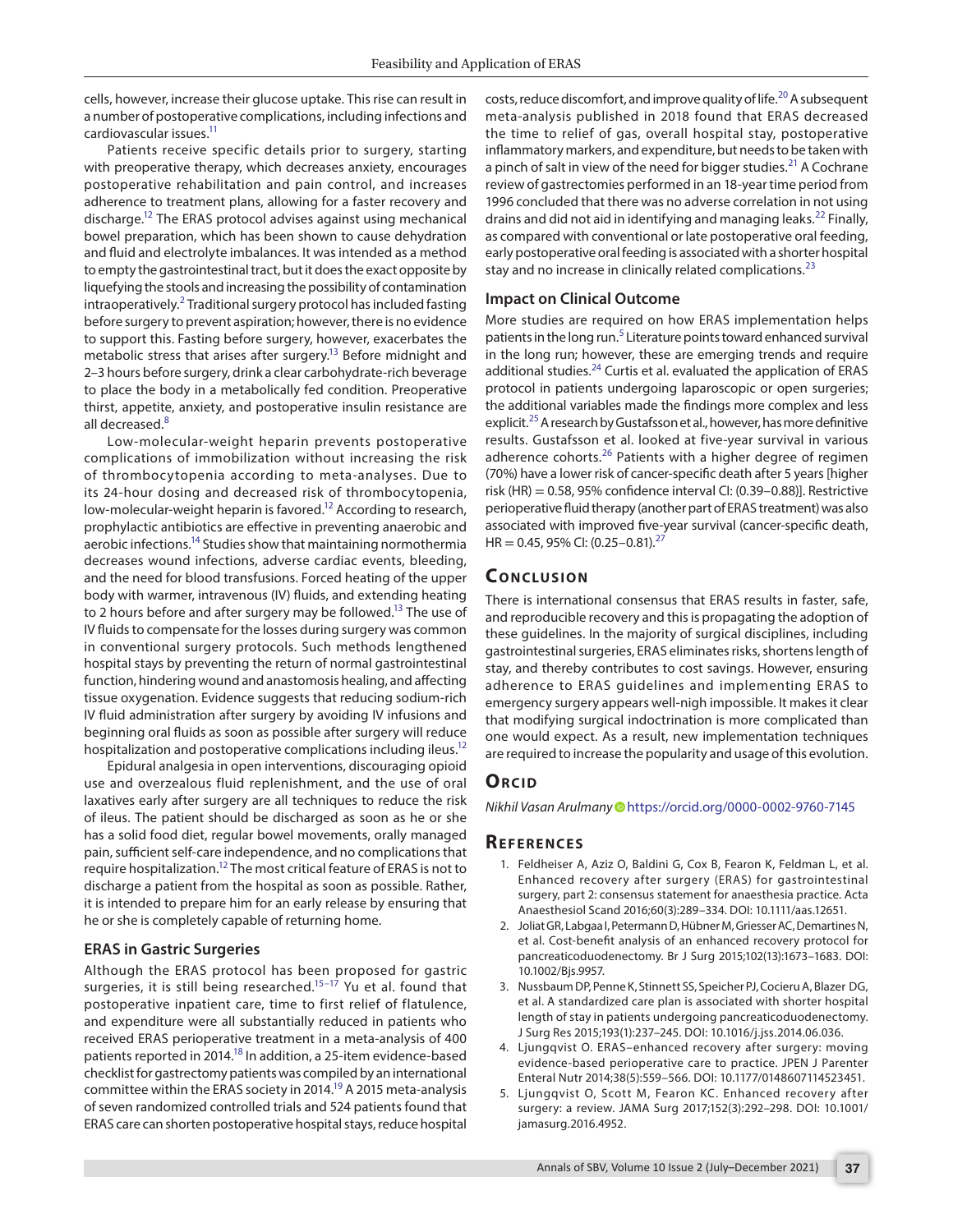cells, however, increase their glucose uptake. This rise can result in a number of postoperative complications, including infections and cardiovascular issues.<sup>11</sup>

Patients receive specific details prior to surgery, starting with preoperative therapy, which decreases anxiety, encourages postoperative rehabilitation and pain control, and increases adherence to treatment plans, allowing for a faster recovery and discharge[.12](#page-2-4) The ERAS protocol advises against using mechanical bowel preparation, which has been shown to cause dehydration and fluid and electrolyte imbalances. It was intended as a method to empty the gastrointestinal tract, but it does the exact opposite by liquefying the stools and increasing the possibility of contamination intraoperatively.<sup>[2](#page-1-1)</sup> Traditional surgery protocol has included fasting before surgery to prevent aspiration; however, there is no evidence to support this. Fasting before surgery, however, exacerbates the metabolic stress that arises after surgery.<sup>13</sup> Before midnight and 2–3 hours before surgery, drink a clear carbohydrate-rich beverage to place the body in a metabolically fed condition. Preoperative thirst, appetite, anxiety, and postoperative insulin resistance are all decreased.<sup>[8](#page-2-6)</sup>

Low-molecular-weight heparin prevents postoperative complications of immobilization without increasing the risk of thrombocytopenia according to meta-analyses. Due to its 24-hour dosing and decreased risk of thrombocytopenia, low-molecular-weight heparin is favored.<sup>12</sup> According to research, prophylactic antibiotics are effective in preventing anaerobic and aerobic infections.<sup>14</sup> Studies show that maintaining normothermia decreases wound infections, adverse cardiac events, bleeding, and the need for blood transfusions. Forced heating of the upper body with warmer, intravenous (IV) fluids, and extending heating to 2 hours before and after surgery may be followed.<sup>13</sup> The use of IV fluids to compensate for the losses during surgery was common in conventional surgery protocols. Such methods lengthened hospital stays by preventing the return of normal gastrointestinal function, hindering wound and anastomosis healing, and affecting tissue oxygenation. Evidence suggests that reducing sodium-rich IV fluid administration after surgery by avoiding IV infusions and beginning oral fluids as soon as possible after surgery will reduce hospitalization and postoperative complications including ileus.<sup>12</sup>

Epidural analgesia in open interventions, discouraging opioid use and overzealous fluid replenishment, and the use of oral laxatives early after surgery are all techniques to reduce the risk of ileus. The patient should be discharged as soon as he or she has a solid food diet, regular bowel movements, orally managed pain, sufficient self-care independence, and no complications that require hospitalization[.12](#page-2-4) The most critical feature of ERAS is not to discharge a patient from the hospital as soon as possible. Rather, it is intended to prepare him for an early release by ensuring that he or she is completely capable of returning home.

# **ERAS in Gastric Surgeries**

Although the ERAS protocol has been proposed for gastric surgeries, it is still being researched.<sup>15-[17](#page-2-9)</sup> Yu et al. found that postoperative inpatient care, time to first relief of flatulence, and expenditure were all substantially reduced in patients who received ERAS perioperative treatment in a meta-analysis of 400 patients reported in 2014.<sup>18</sup> In addition, a 25-item evidence-based checklist for gastrectomy patients was compiled by an international committee within the ERAS society in 2014.<sup>19</sup> A 2015 meta-analysis of seven randomized controlled trials and 524 patients found that ERAS care can shorten postoperative hospital stays, reduce hospital

costs, reduce discomfort, and improve quality of life.<sup>[20](#page-2-12)</sup> A subsequent meta-analysis published in 2018 found that ERAS decreased the time to relief of gas, overall hospital stay, postoperative inflammatory markers, and expenditure, but needs to be taken with a pinch of salt in view of the need for bigger studies.<sup>21</sup> A Cochrane review of gastrectomies performed in an 18-year time period from 1996 concluded that there was no adverse correlation in not using drains and did not aid in identifying and managing leaks.<sup>22</sup> Finally, as compared with conventional or late postoperative oral feeding, early postoperative oral feeding is associated with a shorter hospital stay and no increase in clinically related complications. $^{23}$  $^{23}$  $^{23}$ 

#### **Impact on Clinical Outcome**

More studies are required on how ERAS implementation helps patients in the long run.<sup>[5](#page-1-4)</sup> Literature points toward enhanced survival in the long run; however, these are emerging trends and require additional studies.<sup>[24](#page-2-16)</sup> Curtis et al. evaluated the application of ERAS protocol in patients undergoing laparoscopic or open surgeries; the additional variables made the findings more complex and less explicit.<sup>[25](#page-2-17)</sup> A research by Gustafsson et al., however, has more definitive results. Gustafsson et al. looked at five-year survival in various adherence cohorts.<sup>[26](#page-2-18)</sup> Patients with a higher degree of regimen (70%) have a lower risk of cancer-specific death after 5 years [higher risk (HR) = 0.58, 95% confidence interval CI: (0.39–0.88)]. Restrictive perioperative fluid therapy (another part of ERAS treatment) was also associated with improved five-year survival (cancer-specific death,  $HR = 0.45, 95\%$  CI:  $(0.25-0.81).^{27}$  $(0.25-0.81).^{27}$  $(0.25-0.81).^{27}$ 

## **Conc lusion**

There is international consensus that ERAS results in faster, safe, and reproducible recovery and this is propagating the adoption of these guidelines. In the majority of surgical disciplines, including gastrointestinal surgeries, ERAS eliminates risks, shortens length of stay, and thereby contributes to cost savings. However, ensuring adherence to ERAS guidelines and implementing ERAS to emergency surgery appears well-nigh impossible. It makes it clear that modifying surgical indoctrination is more complicated than one would expect. As a result, new implementation techniques are required to increase the popularity and usage of this evolution.

## **ORCID**

*Nikhil Vasan Arulman[y](https://orcid.org/0000-0002-9760-7145)* https://orcid.org/0000-0002-9760-7145

#### **Re f er enc es**

- <span id="page-1-0"></span>1. Feldheiser A, Aziz O, Baldini G, Cox B, Fearon K, Feldman L, et al. Enhanced recovery after surgery (ERAS) for gastrointestinal surgery, part 2: consensus statement for anaesthesia practice. Acta Anaesthesiol Scand 2016;60(3):289–334. DOI: 10.1111/aas.12651.
- <span id="page-1-1"></span>2. Joliat GR, Labgaa I, Petermann D, Hübner M, Griesser AC, Demartines N, et al. Cost-benefit analysis of an enhanced recovery protocol for pancreaticoduodenectomy. Br J Surg 2015;102(13):1673–1683. DOI: 10.1002/Bjs.9957.
- <span id="page-1-2"></span>3. Nussbaum DP, Penne K, Stinnett SS, Speicher PJ, Cocieru A, Blazer DG, et al. A standardized care plan is associated with shorter hospital length of stay in patients undergoing pancreaticoduodenectomy. J Surg Res 2015;193(1):237–245. DOI: 10.1016/j.jss.2014.06.036.
- <span id="page-1-3"></span>4. Ljungqvist O. ERAS–enhanced recovery after surgery: moving evidence-based perioperative care to practice. JPEN J Parenter Enteral Nutr 2014;38(5):559–566. DOI: 10.1177/0148607114523451.
- <span id="page-1-4"></span>5. Ljungqvist O, Scott M, Fearon KC. Enhanced recovery after surgery: a review. JAMA Surg 2017;152(3):292–298. DOI: 10.1001/ jamasurg.2016.4952.